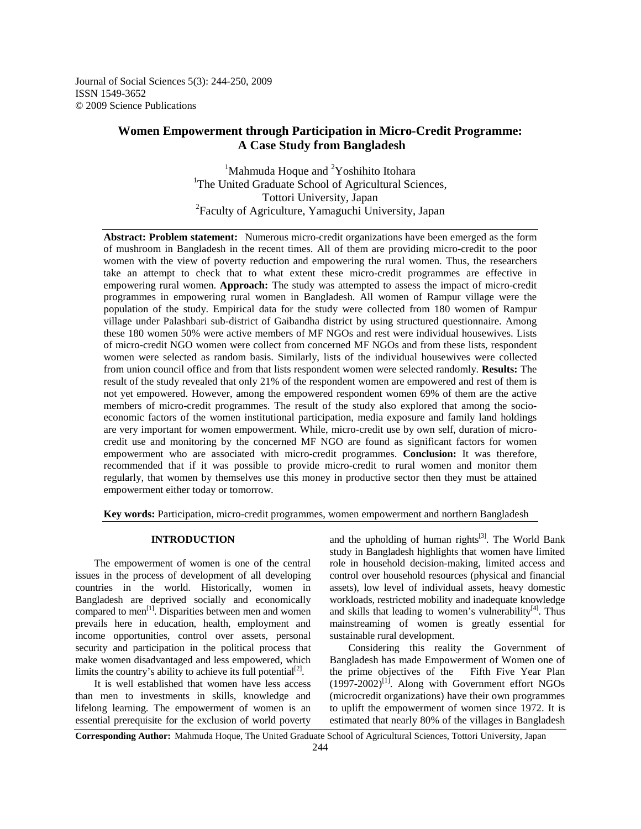Journal of Social Sciences 5(3): 244-250, 2009 ISSN 1549-3652 © 2009 Science Publications

# **Women Empowerment through Participation in Micro-Credit Programme: A Case Study from Bangladesh**

<sup>1</sup>Mahmuda Hoque and <sup>2</sup>Yoshihito Itohara <sup>1</sup>The United Graduate School of Agricultural Sciences, Tottori University, Japan <sup>2</sup>Faculty of Agriculture, Yamaguchi University, Japan

**Abstract: Problem statement:** Numerous micro-credit organizations have been emerged as the form of mushroom in Bangladesh in the recent times. All of them are providing micro-credit to the poor women with the view of poverty reduction and empowering the rural women. Thus, the researchers take an attempt to check that to what extent these micro-credit programmes are effective in empowering rural women. **Approach:** The study was attempted to assess the impact of micro-credit programmes in empowering rural women in Bangladesh. All women of Rampur village were the population of the study. Empirical data for the study were collected from 180 women of Rampur village under Palashbari sub-district of Gaibandha district by using structured questionnaire. Among these 180 women 50% were active members of MF NGOs and rest were individual housewives. Lists of micro-credit NGO women were collect from concerned MF NGOs and from these lists, respondent women were selected as random basis. Similarly, lists of the individual housewives were collected from union council office and from that lists respondent women were selected randomly. **Results:** The result of the study revealed that only 21% of the respondent women are empowered and rest of them is not yet empowered. However, among the empowered respondent women 69% of them are the active members of micro-credit programmes. The result of the study also explored that among the socioeconomic factors of the women institutional participation, media exposure and family land holdings are very important for women empowerment. While, micro-credit use by own self, duration of microcredit use and monitoring by the concerned MF NGO are found as significant factors for women empowerment who are associated with micro-credit programmes. **Conclusion:** It was therefore, recommended that if it was possible to provide micro-credit to rural women and monitor them regularly, that women by themselves use this money in productive sector then they must be attained empowerment either today or tomorrow.

**Key words:** Participation, micro-credit programmes, women empowerment and northern Bangladesh

#### **INTRODUCTION**

 The empowerment of women is one of the central issues in the process of development of all developing countries in the world. Historically, women in Bangladesh are deprived socially and economically compared to men<sup>[1]</sup>. Disparities between men and women prevails here in education, health, employment and income opportunities, control over assets, personal security and participation in the political process that make women disadvantaged and less empowered, which limits the country's ability to achieve its full potential<sup>[2]</sup>.

 It is well established that women have less access than men to investments in skills, knowledge and lifelong learning. The empowerment of women is an essential prerequisite for the exclusion of world poverty and the upholding of human rights $[3]$ . The World Bank study in Bangladesh highlights that women have limited role in household decision-making, limited access and control over household resources (physical and financial assets), low level of individual assets, heavy domestic workloads, restricted mobility and inadequate knowledge and skills that leading to women's vulnerability $[4]$ . Thus mainstreaming of women is greatly essential for sustainable rural development.

 Considering this reality the Government of Bangladesh has made Empowerment of Women one of the prime objectives of the Fifth Five Year Plan  $(1997-2002)^{[1]}$ . Along with Government effort NGOs (microcredit organizations) have their own programmes to uplift the empowerment of women since 1972. It is estimated that nearly 80% of the villages in Bangladesh

**Corresponding Author:** Mahmuda Hoque, The United Graduate School of Agricultural Sciences, Tottori University, Japan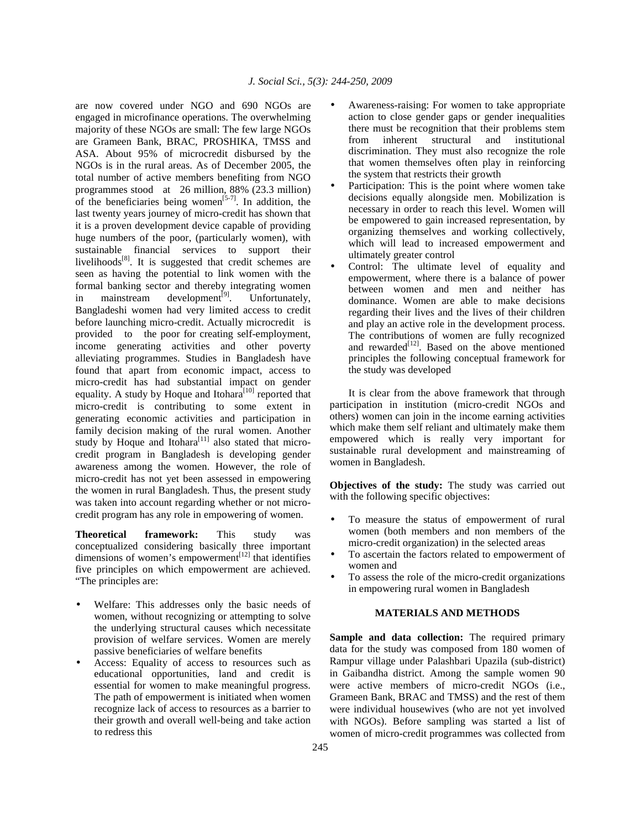are now covered under NGO and 690 NGOs are engaged in microfinance operations. The overwhelming majority of these NGOs are small: The few large NGOs are Grameen Bank, BRAC, PROSHIKA, TMSS and ASA. About 95% of microcredit disbursed by the NGOs is in the rural areas. As of December 2005, the total number of active members benefiting from NGO programmes stood at 26 million, 88% (23.3 million) of the beneficiaries being women<sup>[5-7]</sup>. In addition, the last twenty years journey of micro-credit has shown that it is a proven development device capable of providing huge numbers of the poor, (particularly women), with sustainable financial services to support their livelihoods $[8]$ . It is suggested that credit schemes are seen as having the potential to link women with the formal banking sector and thereby integrating women in mainstream development<sup>[9]</sup>. Unfortunately, Bangladeshi women had very limited access to credit before launching micro-credit. Actually microcredit is provided to the poor for creating self-employment, income generating activities and other poverty alleviating programmes. Studies in Bangladesh have found that apart from economic impact, access to micro-credit has had substantial impact on gender equality. A study by Hoque and Itohara $^{[10]}$  reported that micro-credit is contributing to some extent in generating economic activities and participation in family decision making of the rural women. Another study by Hoque and Itohara<sup>[11]</sup> also stated that microcredit program in Bangladesh is developing gender awareness among the women. However, the role of micro-credit has not yet been assessed in empowering the women in rural Bangladesh. Thus, the present study was taken into account regarding whether or not microcredit program has any role in empowering of women.

**Theoretical framework:** This study was conceptualized considering basically three important dimensions of women's empowerment<sup>[12]</sup> that identifies five principles on which empowerment are achieved. "The principles are:

- Welfare: This addresses only the basic needs of women, without recognizing or attempting to solve the underlying structural causes which necessitate provision of welfare services. Women are merely passive beneficiaries of welfare benefits
- Access: Equality of access to resources such as educational opportunities, land and credit is essential for women to make meaningful progress. The path of empowerment is initiated when women recognize lack of access to resources as a barrier to their growth and overall well-being and take action to redress this
- Awareness-raising: For women to take appropriate action to close gender gaps or gender inequalities there must be recognition that their problems stem from inherent structural and institutional discrimination. They must also recognize the role that women themselves often play in reinforcing the system that restricts their growth
- Participation: This is the point where women take decisions equally alongside men. Mobilization is necessary in order to reach this level. Women will be empowered to gain increased representation, by organizing themselves and working collectively, which will lead to increased empowerment and ultimately greater control
- Control: The ultimate level of equality and empowerment, where there is a balance of power between women and men and neither has dominance. Women are able to make decisions regarding their lives and the lives of their children and play an active role in the development process. The contributions of women are fully recognized and rewarded<sup>[12]</sup>. Based on the above mentioned principles the following conceptual framework for the study was developed

 It is clear from the above framework that through participation in institution (micro-credit NGOs and others) women can join in the income earning activities which make them self reliant and ultimately make them empowered which is really very important for sustainable rural development and mainstreaming of women in Bangladesh.

**Objectives of the study:** The study was carried out with the following specific objectives:

- To measure the status of empowerment of rural women (both members and non members of the micro-credit organization) in the selected areas
- To ascertain the factors related to empowerment of women and
- To assess the role of the micro-credit organizations in empowering rural women in Bangladesh

#### **MATERIALS AND METHODS**

**Sample and data collection:** The required primary data for the study was composed from 180 women of Rampur village under Palashbari Upazila (sub-district) in Gaibandha district. Among the sample women 90 were active members of micro-credit NGOs (i.e., Grameen Bank, BRAC and TMSS) and the rest of them were individual housewives (who are not yet involved with NGOs). Before sampling was started a list of women of micro-credit programmes was collected from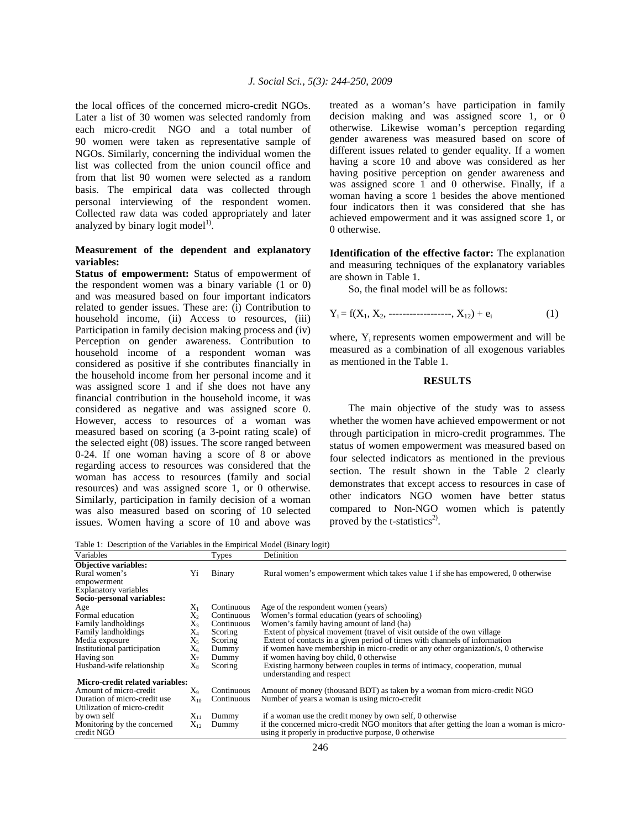the local offices of the concerned micro-credit NGOs. Later a list of 30 women was selected randomly from each micro-credit NGO and a total number of 90 women were taken as representative sample of NGOs. Similarly, concerning the individual women the list was collected from the union council office and from that list 90 women were selected as a random basis. The empirical data was collected through personal interviewing of the respondent women. Collected raw data was coded appropriately and later analyzed by binary logit model $^{1)}$ .

### **Measurement of the dependent and explanatory variables:**

**Status of empowerment:** Status of empowerment of the respondent women was a binary variable (1 or 0) and was measured based on four important indicators related to gender issues. These are: (i) Contribution to household income, (ii) Access to resources, (iii) Participation in family decision making process and (iv) Perception on gender awareness. Contribution to household income of a respondent woman was considered as positive if she contributes financially in the household income from her personal income and it was assigned score 1 and if she does not have any financial contribution in the household income, it was considered as negative and was assigned score 0. However, access to resources of a woman was measured based on scoring (a 3-point rating scale) of the selected eight (08) issues. The score ranged between 0-24. If one woman having a score of 8 or above regarding access to resources was considered that the woman has access to resources (family and social resources) and was assigned score 1, or 0 otherwise. Similarly, participation in family decision of a woman was also measured based on scoring of 10 selected issues. Women having a score of 10 and above was

treated as a woman's have participation in family decision making and was assigned score 1, or 0 otherwise. Likewise woman's perception regarding gender awareness was measured based on score of different issues related to gender equality. If a women having a score 10 and above was considered as her having positive perception on gender awareness and was assigned score 1 and 0 otherwise. Finally, if a woman having a score 1 besides the above mentioned four indicators then it was considered that she has achieved empowerment and it was assigned score 1, or 0 otherwise.

**Identification of the effective factor:** The explanation and measuring techniques of the explanatory variables are shown in Table 1.

So, the final model will be as follows:

$$
Y_i = f(X_1, X_2, \dots \dots \dots \dots \dots \dots, X_{12}) + e_i \tag{1}
$$

where, Y<sub>i</sub> represents women empowerment and will be measured as a combination of all exogenous variables as mentioned in the Table 1.

### **RESULTS**

 The main objective of the study was to assess whether the women have achieved empowerment or not through participation in micro-credit programmes. The status of women empowerment was measured based on four selected indicators as mentioned in the previous section. The result shown in the Table 2 clearly demonstrates that except access to resources in case of other indicators NGO women have better status compared to Non-NGO women which is patently proved by the t-statistics<sup>2)</sup>.

Table 1: Description of the Variables in the Empirical Model (Binary logit)

| Variables                       |                | <b>Types</b> | Definition                                                                                              |
|---------------------------------|----------------|--------------|---------------------------------------------------------------------------------------------------------|
| <b>Objective variables:</b>     |                |              |                                                                                                         |
| Rural women's                   | Yi             | Binary       | Rural women's empowerment which takes value 1 if she has empowered, 0 otherwise                         |
| empowerment                     |                |              |                                                                                                         |
| Explanatory variables           |                |              |                                                                                                         |
| Socio-personal variables:       |                |              |                                                                                                         |
| Age                             | $X_1$          | Continuous   | Age of the respondent women (years)                                                                     |
| Formal education                | X <sub>2</sub> | Continuous   | Women's formal education (years of schooling)                                                           |
| Family landholdings             | $X_3$          | Continuous   | Women's family having amount of land (ha)                                                               |
| Family landholdings             | $X_4$          | Scoring      | Extent of physical movement (travel of visit outside of the own village                                 |
| Media exposure                  | $X_5$          | Scoring      | Extent of contacts in a given period of times with channels of information                              |
| Institutional participation     | $X_6$          | Dummy        | if women have membership in micro-credit or any other organization/s, 0 otherwise                       |
| Having son                      | $X_7$          | Dummy        | if women having boy child, 0 otherwise                                                                  |
| Husband-wife relationship       | $X_8$          | Scoring      | Existing harmony between couples in terms of intimacy, cooperation, mutual<br>understanding and respect |
| Micro-credit related variables: |                |              |                                                                                                         |
| Amount of micro-credit          | X0             | Continuous   | Amount of money (thousand BDT) as taken by a woman from micro-credit NGO                                |
| Duration of micro-credit use    | $\rm X_{10}$   | Continuous   | Number of years a woman is using micro-credit                                                           |
| Utilization of micro-credit     |                |              |                                                                                                         |
| by own self                     | $X_{11}$       | Dummy        | if a woman use the credit money by own self, 0 otherwise                                                |
| Monitoring by the concerned     | $X_{12}$       | Dummy        | if the concerned micro-credit NGO monitors that after getting the loan a woman is micro-                |
| credit NGO                      |                |              | using it properly in productive purpose, 0 otherwise                                                    |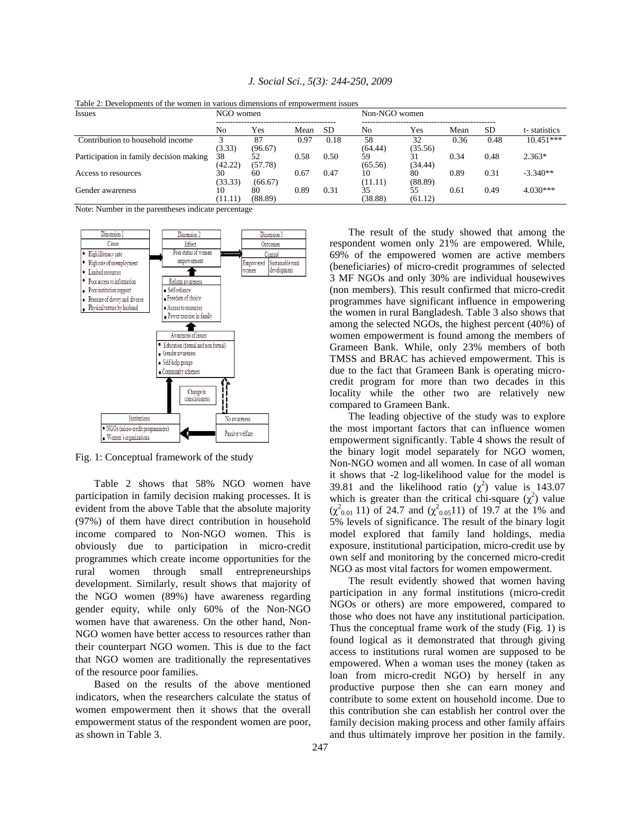| <b>Issues</b>                           | NGO women     |               |      |           | Non-NGO women |               |      |           |              |
|-----------------------------------------|---------------|---------------|------|-----------|---------------|---------------|------|-----------|--------------|
|                                         | No            | Yes           | Mean | <b>SD</b> | No            | Yes           | Mean | <b>SD</b> | t-statistics |
| Contribution to household income        | (3.33)        | 87<br>(96.67) | 0.97 | 0.18      | 58<br>(64.44) | 32<br>(35.56) | 0.36 | 0.48      | $10.451***$  |
| Participation in family decision making | 38<br>(42.22) | 52<br>(57.78) | 0.58 | 0.50      | 59<br>(65.56) | (34.44)       | 0.34 | 0.48      | $2.363*$     |
| Access to resources                     | 30<br>(33.33) | 60<br>(66.67) | 0.67 | 0.47      | 10<br>(11.11) | 80<br>(88.89) | 0.89 | 0.31      | $-3.340**$   |
| Gender awareness                        | 10<br>(11.11) | 80<br>(88.89) | 0.89 | 0.31      | 35<br>(38.88) | 55<br>(61.12) | 0.61 | 0.49      | $4.030***$   |

*J. Social Sci., 5(3): 244-250, 2009* 

Table 2: Developments of the women in various dimensions of empowerment issues

Note: Number in the parentheses indicate percentage



Fig. 1: Conceptual framework of the study

 Table 2 shows that 58% NGO women have participation in family decision making processes. It is evident from the above Table that the absolute majority (97%) of them have direct contribution in household income compared to Non-NGO women. This is obviously due to participation in micro-credit programmes which create income opportunities for the rural women through small entrepreneurships development. Similarly, result shows that majority of the NGO women (89%) have awareness regarding gender equity, while only 60% of the Non-NGO women have that awareness. On the other hand, Non-NGO women have better access to resources rather than their counterpart NGO women. This is due to the fact that NGO women are traditionally the representatives of the resource poor families.

 Based on the results of the above mentioned indicators, when the researchers calculate the status of women empowerment then it shows that the overall empowerment status of the respondent women are poor, as shown in Table 3.

 The result of the study showed that among the respondent women only 21% are empowered. While, 69% of the empowered women are active members (beneficiaries) of micro-credit programmes of selected 3 MF NGOs and only 30% are individual housewives (non members). This result confirmed that micro-credit programmes have significant influence in empowering the women in rural Bangladesh. Table 3 also shows that among the selected NGOs, the highest percent (40%) of women empowerment is found among the members of Grameen Bank. While, only 23% members of both TMSS and BRAC has achieved empowerment. This is due to the fact that Grameen Bank is operating microcredit program for more than two decades in this locality while the other two are relatively new compared to Grameen Bank.

 The leading objective of the study was to explore the most important factors that can influence women empowerment significantly. Table 4 shows the result of the binary logit model separately for NGO women, Non-NGO women and all women. In case of all woman it shows that -2 log-likelihood value for the model is 39.81 and the likelihood ratio  $(\chi^2)$  value is 143.07 which is greater than the critical chi-square  $(\chi^2)$  value  $(χ<sup>2</sup><sub>0.01</sub> 11)$  of 24.7 and  $(χ<sup>2</sup><sub>0.05</sub>11)$  of 19.7 at the 1% and 5% levels of significance. The result of the binary logit model explored that family land holdings, media exposure, institutional participation, micro-credit use by own self and monitoring by the concerned micro-credit NGO as most vital factors for women empowerment.

 The result evidently showed that women having participation in any formal institutions (micro-credit NGOs or others) are more empowered, compared to those who does not have any institutional participation. Thus the conceptual frame work of the study (Fig. 1) is found logical as it demonstrated that through giving access to institutions rural women are supposed to be empowered. When a woman uses the money (taken as loan from micro-credit NGO) by herself in any productive purpose then she can earn money and contribute to some extent on household income. Due to this contribution she can establish her control over the family decision making process and other family affairs and thus ultimately improve her position in the family.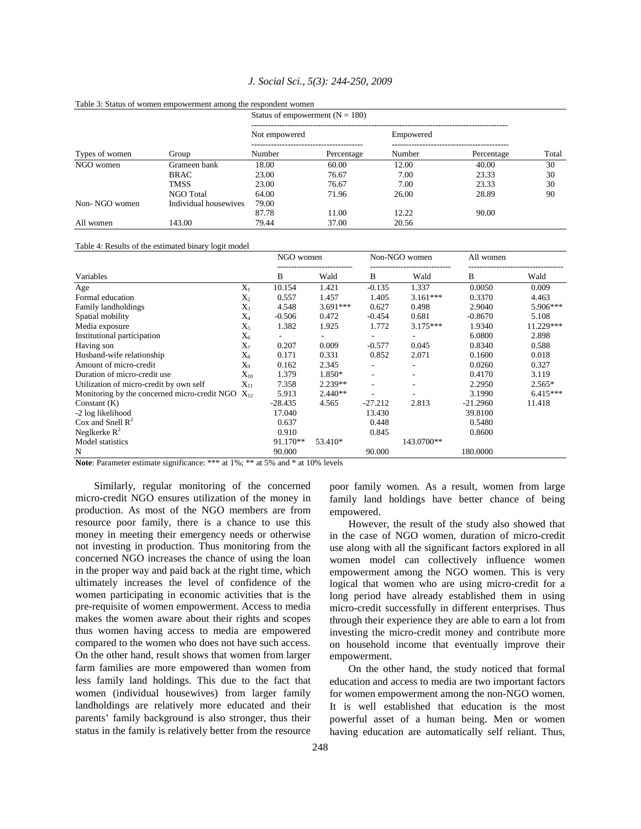|                |                       | Status of empowerment $(N = 180)$ |            |           |            |       |  |  |
|----------------|-----------------------|-----------------------------------|------------|-----------|------------|-------|--|--|
|                |                       | Not empowered                     |            | Empowered |            |       |  |  |
| Types of women | Group                 | Number                            | Percentage | Number    | Percentage | Total |  |  |
| NGO women      | Grameen bank          | 18.00                             | 60.00      | 12.00     | 40.00      | 30    |  |  |
|                | <b>BRAC</b>           | 23.00                             | 76.67      | 7.00      | 23.33      | 30    |  |  |
|                | <b>TMSS</b>           | 23.00                             | 76.67      | 7.00      | 23.33      | 30    |  |  |
|                | NGO Total             | 64.00                             | 71.96      | 26.00     | 28.89      | 90    |  |  |
| Non-NGO women  | Individual housewives | 79.00                             |            |           |            |       |  |  |
|                |                       | 87.78                             | 11.00      | 12.22     | 90.00      |       |  |  |
| All women      | 143.00                | 79.44                             | 37.00      | 20.56     |            |       |  |  |

#### *J. Social Sci., 5(3): 244-250, 2009*

#### Table 4: Results of the estimated binary logit model

Table 3: Status of women empowerment among the respondent women

|                                                          |              | NGO women |            | Non-NGO women                |            | All women  |            |
|----------------------------------------------------------|--------------|-----------|------------|------------------------------|------------|------------|------------|
| Variables                                                |              | B         | Wald       | B                            | Wald       | B          | Wald       |
| Age                                                      | $X_1$        | 10.154    | 1.421      | $-0.135$                     | 1.337      | 0.0050     | 0.009      |
| Formal education                                         | $X_2$        | 0.557     | 1.457      | 1.405                        | $3.161***$ | 0.3370     | 4.463      |
| Family landholdings                                      | $X_3$        | 4.548     | $3.691***$ | 0.627                        | 0.498      | 2.9040     | 5.906***   |
| Spatial mobility                                         | $X_4$        | $-0.506$  | 0.472      | $-0.454$                     | 0.681      | $-0.8670$  | 5.108      |
| Media exposure                                           | $X_5$        | 1.382     | 1.925      | 1.772                        | $3.175***$ | 1.9340     | 11.229***  |
| Institutional participation                              | $X_6$        |           |            |                              |            | 6.0800     | 2.898      |
| Having son                                               | $X_7$        | 0.207     | 0.009      | $-0.577$                     | 0.045      | 0.8340     | 0.588      |
| Husband-wife relationship                                | $X_8$        | 0.171     | 0.331      | 0.852                        | 2.071      | 0.1600     | 0.018      |
| Amount of micro-credit                                   | $X_{9}$      | 0.162     | 2.345      |                              |            | 0.0260     | 0.327      |
| Duration of micro-credit use                             | $\rm X_{10}$ | 1.379     | 1.850*     | $\qquad \qquad \blacksquare$ |            | 0.4170     | 3.119      |
| Utilization of micro-credit by own self                  | $X_{11}$     | 7.358     | $2.239**$  | ٠                            |            | 2.2950     | $2.565*$   |
| Monitoring by the concerned micro-credit NGO<br>$X_{12}$ |              | 5.913     | $2.440**$  |                              |            | 3.1990     | $6.415***$ |
| Constant $(K)$                                           |              | $-28.435$ | 4.565      | $-27.212$                    | 2.813      | $-21.2960$ | 11.418     |
| -2 log likelihood                                        |              | 17.040    |            | 13.430                       |            | 39.8100    |            |
| Cox and Snell $\mathbb{R}^2$                             |              | 0.637     |            | 0.448                        |            | 0.5480     |            |
| Neglkerke $R^2$                                          |              | 0.910     |            | 0.845                        |            | 0.8600     |            |
| Model statistics                                         |              | 91.170**  | 53.410*    |                              | 143.0700** |            |            |
| N<br>$\sim$ $\sim$ $\sim$<br>.                           |              | 90.000    |            | 90.000                       |            | 180.0000   |            |

**Note**: Parameter estimate significance: \*\*\* at 1%; \*\* at 5% and \* at 10% levels

 Similarly, regular monitoring of the concerned micro-credit NGO ensures utilization of the money in production. As most of the NGO members are from resource poor family, there is a chance to use this money in meeting their emergency needs or otherwise not investing in production. Thus monitoring from the concerned NGO increases the chance of using the loan in the proper way and paid back at the right time, which ultimately increases the level of confidence of the women participating in economic activities that is the pre-requisite of women empowerment. Access to media makes the women aware about their rights and scopes thus women having access to media are empowered compared to the women who does not have such access. On the other hand, result shows that women from larger farm families are more empowered than women from less family land holdings. This due to the fact that women (individual housewives) from larger family landholdings are relatively more educated and their parents' family background is also stronger, thus their status in the family is relatively better from the resource

poor family women. As a result, women from large family land holdings have better chance of being empowered.

 However, the result of the study also showed that in the case of NGO women, duration of micro-credit use along with all the significant factors explored in all women model can collectively influence women empowerment among the NGO women. This is very logical that women who are using micro-credit for a long period have already established them in using micro-credit successfully in different enterprises. Thus through their experience they are able to earn a lot from investing the micro-credit money and contribute more on household income that eventually improve their empowerment.

 On the other hand, the study noticed that formal education and access to media are two important factors for women empowerment among the non-NGO women. It is well established that education is the most powerful asset of a human being. Men or women having education are automatically self reliant. Thus,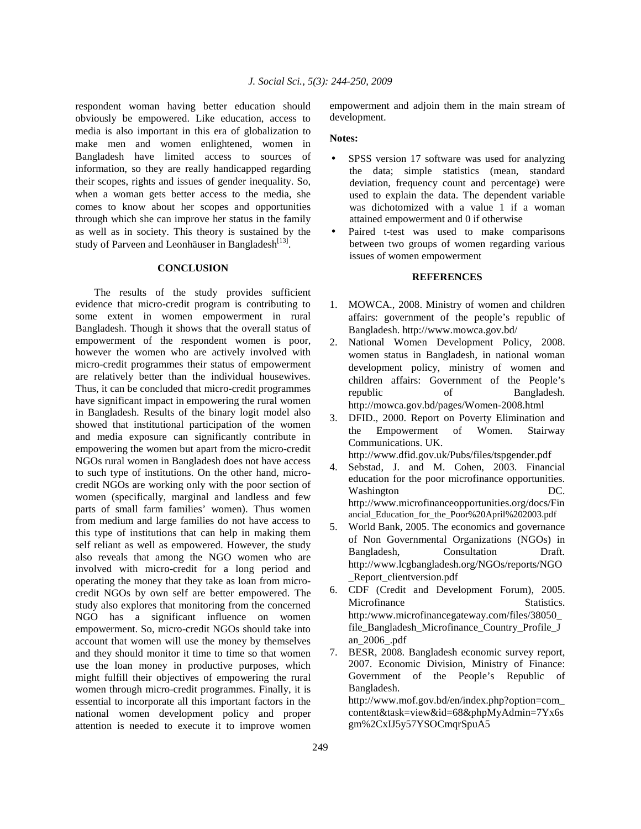respondent woman having better education should obviously be empowered. Like education, access to media is also important in this era of globalization to make men and women enlightened, women in Bangladesh have limited access to sources of information, so they are really handicapped regarding their scopes, rights and issues of gender inequality. So, when a woman gets better access to the media, she comes to know about her scopes and opportunities through which she can improve her status in the family as well as in society. This theory is sustained by the study of Parveen and Leonhäuser in Bangladesh $^{[13]}$ .

#### **CONCLUSION**

 The results of the study provides sufficient evidence that micro-credit program is contributing to some extent in women empowerment in rural Bangladesh. Though it shows that the overall status of empowerment of the respondent women is poor, however the women who are actively involved with micro-credit programmes their status of empowerment are relatively better than the individual housewives. Thus, it can be concluded that micro-credit programmes have significant impact in empowering the rural women in Bangladesh. Results of the binary logit model also showed that institutional participation of the women and media exposure can significantly contribute in empowering the women but apart from the micro-credit NGOs rural women in Bangladesh does not have access to such type of institutions. On the other hand, microcredit NGOs are working only with the poor section of women (specifically, marginal and landless and few parts of small farm families' women). Thus women from medium and large families do not have access to this type of institutions that can help in making them self reliant as well as empowered. However, the study also reveals that among the NGO women who are involved with micro-credit for a long period and operating the money that they take as loan from microcredit NGOs by own self are better empowered. The study also explores that monitoring from the concerned NGO has a significant influence on women empowerment. So, micro-credit NGOs should take into account that women will use the money by themselves and they should monitor it time to time so that women use the loan money in productive purposes, which might fulfill their objectives of empowering the rural women through micro-credit programmes. Finally, it is essential to incorporate all this important factors in the national women development policy and proper attention is needed to execute it to improve women

empowerment and adjoin them in the main stream of development.

### **Notes:**

- SPSS version 17 software was used for analyzing the data; simple statistics (mean, standard deviation, frequency count and percentage) were used to explain the data. The dependent variable was dichotomized with a value 1 if a woman attained empowerment and 0 if otherwise
- Paired t-test was used to make comparisons between two groups of women regarding various issues of women empowerment

## **REFERENCES**

- 1. MOWCA., 2008. Ministry of women and children affairs: government of the people's republic of Bangladesh. http://www.mowca.gov.bd/
- 2. National Women Development Policy, 2008. women status in Bangladesh, in national woman development policy, ministry of women and children affairs: Government of the People's republic of Bangladesh. http://mowca.gov.bd/pages/Women-2008.html
- 3. DFID., 2000. Report on Poverty Elimination and the Empowerment of Women. Stairway Communications. UK. http://www.dfid.gov.uk/Pubs/files/tspgender.pdf
- 4. Sebstad, J. and M. Cohen, 2003. Financial education for the poor microfinance opportunities. Washington DC. http://www.microfinanceopportunities.org/docs/Fin ancial Education for the Poor%20April%202003.pdf
- 5. World Bank, 2005. The economics and governance of Non Governmental Organizations (NGOs) in Bangladesh, Consultation Draft. http://www.lcgbangladesh.org/NGOs/reports/NGO \_Report\_clientversion.pdf
- 6. CDF (Credit and Development Forum), 2005. Microfinance Statistics. http:/www.microfinancegateway.com/files/38050\_ file\_Bangladesh\_Microfinance\_Country\_Profile\_J an\_2006\_.pdf
- 7. BESR, 2008. Bangladesh economic survey report, 2007. Economic Division, Ministry of Finance: Government of the People's Republic of Bangladesh. http://www.mof.gov.bd/en/index.php?option=com\_ content&task=view&id=68&phpMyAdmin=7Yx6s gm%2CxIJ5y57YSOCmqrSpuA5